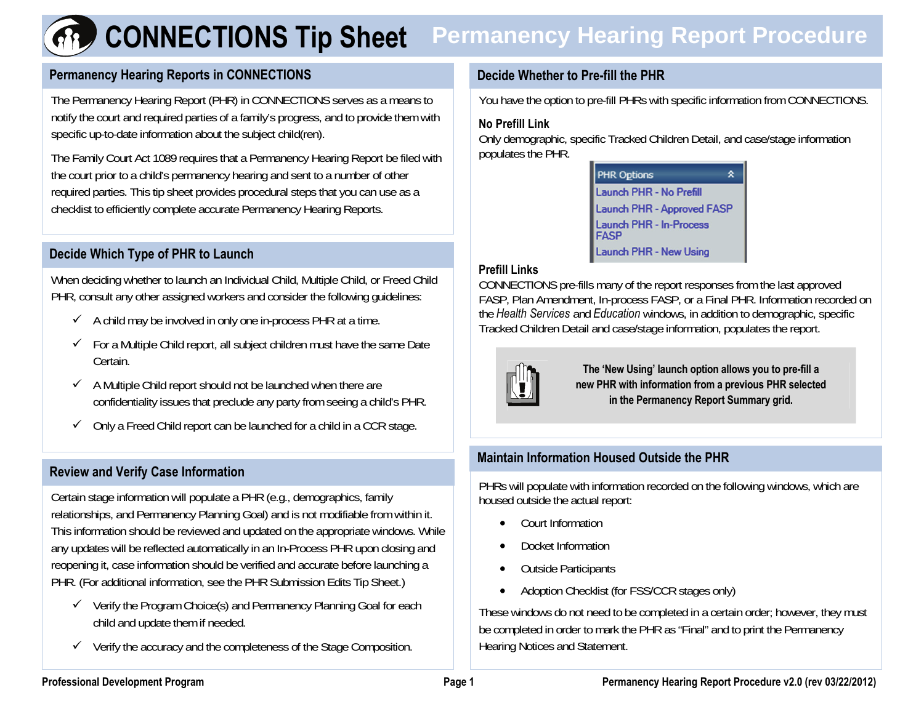# **CONNECTIONS Tip Sheet** Permanency Hearing Report Procedure

## **Permanency Hearing Reports in CONNECTIONS** Decide Whether to Pre-fill the PHR

The Permanency Hearing Report (PHR) in CONNECTIONS serves as a means to notify the court and required parties of a family's progress, and to provide them with specific up-to-date information about the subject child(ren).

The Family Court Act 1089 requires that a Permanency Hearing Report be filed with the court prior to a child's permanency hearing and sent to a number of other required parties. This tip sheet provides procedural steps that you can use as a checklist to efficiently complete accurate Permanency Hearing Reports.

# **Decide Which Type of PHR to Launch**

When deciding whether to launch an Individual Child, Multiple Child, or Freed Child PHR, consult any other assigned workers and consider the following guidelines:

- $\checkmark$  A child may be involved in only one in-process PHR at a time.
- $\checkmark$  For a Multiple Child report, all subject children must have the same Date Certain.
- $\checkmark$  A Multiple Child report should not be launched when there are confidentiality issues that preclude any party from seeing a child's PHR.
- $\checkmark$  Only a Freed Child report can be launched for a child in a CCR stage.

# **Review and Verify Case Information**

Certain stage information will populate a PHR (e.g., demographics, family relationships, and Permanency Planning Goal) and is not modifiable from within it. This information should be reviewed and updated on the appropriate windows. While any updates will be reflected automatically in an In-Process PHR upon closing and reopening it, case information should be verified and accurate before launching a PHR. (For additional information, see the PHR Submission Edits Tip Sheet.)

- $\checkmark$  Verify the Program Choice(s) and Permanency Planning Goal for each child and update them if needed.
- $\checkmark$  Verify the accuracy and the completeness of the Stage Composition.

You have the option to pre-fill PHRs with specific information from CONNECTIONS.

#### **No Prefill Link**

Only demographic, specific Tracked Children Detail, and case/stage information populates the PHR.

| <b>PHR Options</b>                            | ٠ |
|-----------------------------------------------|---|
| Launch PHR - No Prefill                       |   |
| <b>Launch PHR - Approved FASP</b>             |   |
| <b>Launch PHR - In-Process</b><br><b>FASP</b> |   |
| <b>Launch PHR - New Using</b>                 |   |

#### **Prefill Links**

CONNECTIONS pre-fills many of the report responses from the last approved FASP, Plan Amendment, In-process FASP, or a Final PHR. Information recorded on the *Health Services* and *Education* windows, in addition to demographic, specific Tracked Children Detail and case/stage information, populates the report.



**The 'New Using' launch option allows you to pre-fill a new PHR with information from a previous PHR selected in the Permanency Report Summary grid.** 

## **Maintain Information Housed Outside the PHR**

PHRs will populate with information recorded on the following windows, which are housed outside the actual report:

- •Court Information
- •Docket Information
- •Outside Participants
- •Adoption Checklist (for FSS/CCR stages only)

These windows do not need to be completed in a certain order; however, they must be completed in order to mark the PHR as "Final" and to print the Permanency Hearing Notices and Statement.